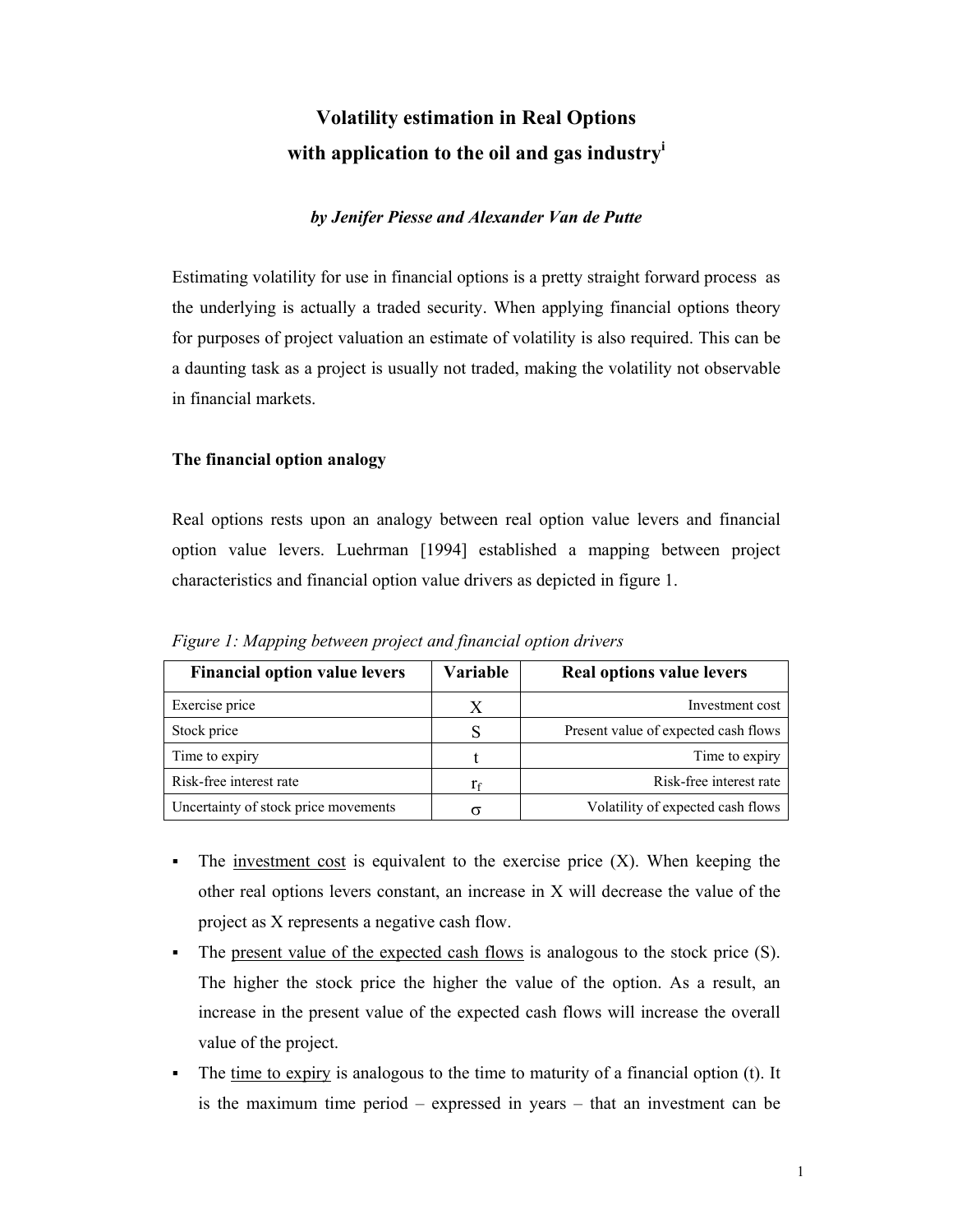# **Volatility estimation in Real Options with application to the oil and gas industry<sup>i</sup>**

## *by Jenifer Piesse and Alexander Van de Putte*

Estimating volatility for use in financial options is a pretty straight forward process as the underlying is actually a traded security. When applying financial options theory for purposes of project valuation an estimate of volatility is also required. This can be a daunting task as a project is usually not traded, making the volatility not observable in financial markets.

### **The financial option analogy**

Real options rests upon an analogy between real option value levers and financial option value levers. Luehrman [1994] established a mapping between project characteristics and financial option value drivers as depicted in figure 1.

| <b>Financial option value levers</b> | Variable | Real options value levers            |
|--------------------------------------|----------|--------------------------------------|
| Exercise price                       | X        | Investment cost                      |
| Stock price                          |          | Present value of expected cash flows |
| Time to expiry                       |          | Time to expiry                       |
| Risk-free interest rate              | $r_f$    | Risk-free interest rate              |
| Uncertainty of stock price movements |          | Volatility of expected cash flows    |

*Figure 1: Mapping between project and financial option drivers* 

- The investment cost is equivalent to the exercise price  $(X)$ . When keeping the other real options levers constant, an increase in X will decrease the value of the project as X represents a negative cash flow.
- The present value of the expected cash flows is analogous to the stock price (S). The higher the stock price the higher the value of the option. As a result, an increase in the present value of the expected cash flows will increase the overall value of the project.
- The time to expiry is analogous to the time to maturity of a financial option (t). It is the maximum time period – expressed in years – that an investment can be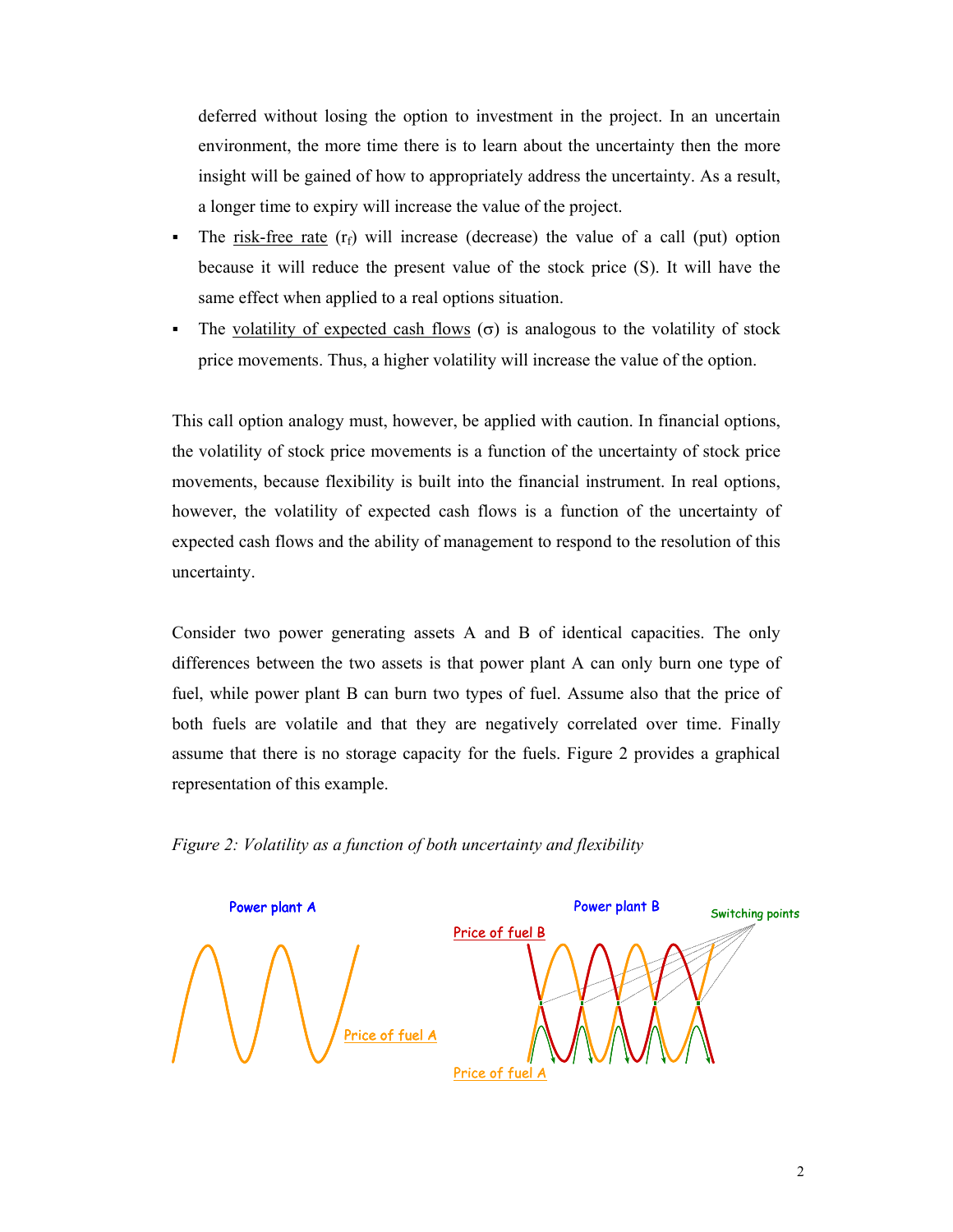deferred without losing the option to investment in the project. In an uncertain environment, the more time there is to learn about the uncertainty then the more insight will be gained of how to appropriately address the uncertainty. As a result, a longer time to expiry will increase the value of the project.

- The risk-free rate  $(r_f)$  will increase (decrease) the value of a call (put) option because it will reduce the present value of the stock price (S). It will have the same effect when applied to a real options situation.
- The volatility of expected cash flows ( $\sigma$ ) is analogous to the volatility of stock price movements. Thus, a higher volatility will increase the value of the option.

This call option analogy must, however, be applied with caution. In financial options, the volatility of stock price movements is a function of the uncertainty of stock price movements, because flexibility is built into the financial instrument. In real options, however, the volatility of expected cash flows is a function of the uncertainty of expected cash flows and the ability of management to respond to the resolution of this uncertainty.

Consider two power generating assets A and B of identical capacities. The only differences between the two assets is that power plant A can only burn one type of fuel, while power plant B can burn two types of fuel. Assume also that the price of both fuels are volatile and that they are negatively correlated over time. Finally assume that there is no storage capacity for the fuels. Figure 2 provides a graphical representation of this example.



*Figure 2: Volatility as a function of both uncertainty and flexibility*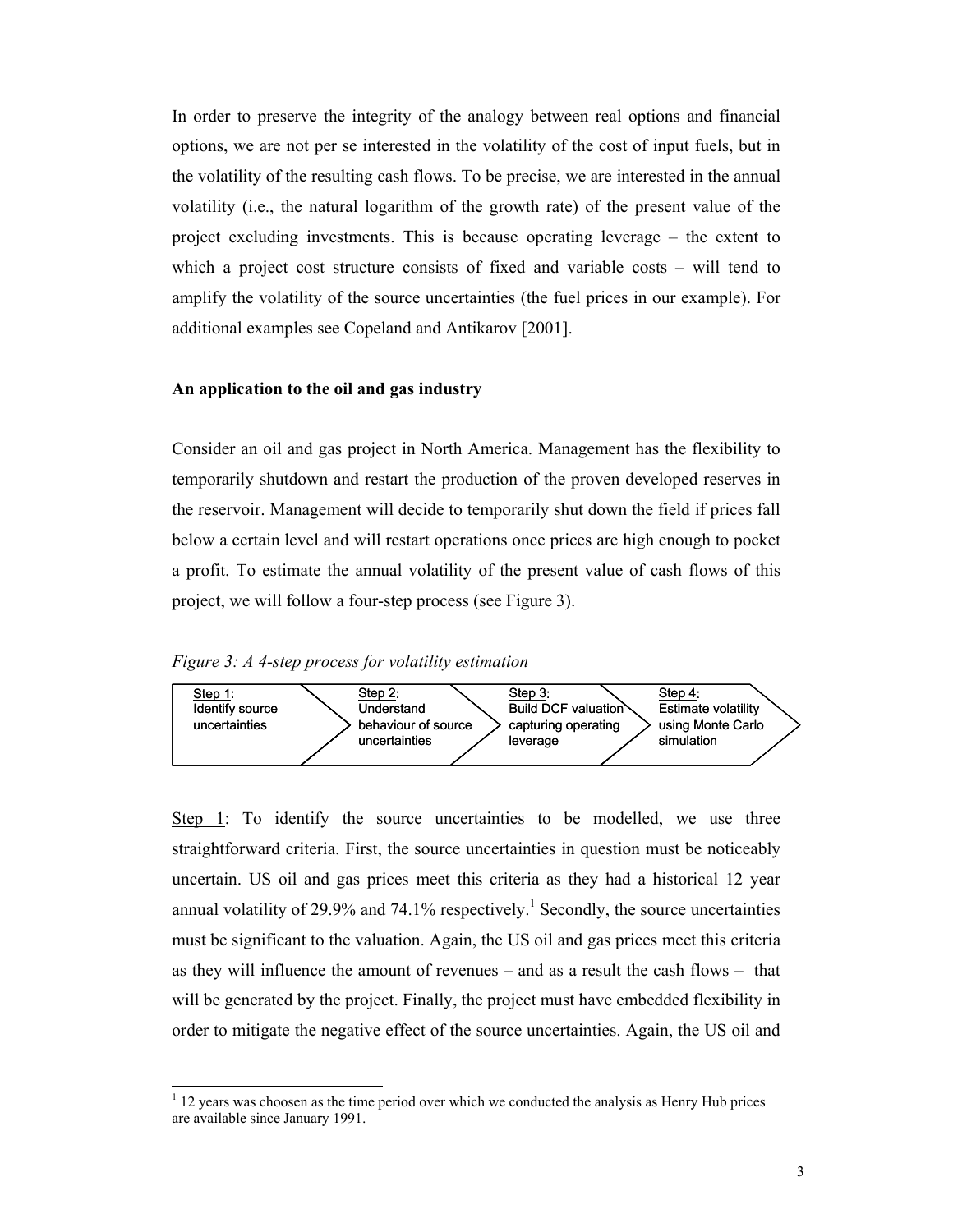In order to preserve the integrity of the analogy between real options and financial options, we are not per se interested in the volatility of the cost of input fuels, but in the volatility of the resulting cash flows. To be precise, we are interested in the annual volatility (i.e., the natural logarithm of the growth rate) of the present value of the project excluding investments. This is because operating leverage – the extent to which a project cost structure consists of fixed and variable costs – will tend to amplify the volatility of the source uncertainties (the fuel prices in our example). For additional examples see Copeland and Antikarov [2001].

#### **An application to the oil and gas industry**

Consider an oil and gas project in North America. Management has the flexibility to temporarily shutdown and restart the production of the proven developed reserves in the reservoir. Management will decide to temporarily shut down the field if prices fall below a certain level and will restart operations once prices are high enough to pocket a profit. To estimate the annual volatility of the present value of cash flows of this project, we will follow a four-step process (see Figure 3).

*Figure 3: A 4-step process for volatility estimation* 

1



Step 1: To identify the source uncertainties to be modelled, we use three straightforward criteria. First, the source uncertainties in question must be noticeably uncertain. US oil and gas prices meet this criteria as they had a historical 12 year annual volatility of 29.9% and 74.1% respectively.<sup>1</sup> Secondly, the source uncertainties must be significant to the valuation. Again, the US oil and gas prices meet this criteria as they will influence the amount of revenues – and as a result the cash flows – that will be generated by the project. Finally, the project must have embedded flexibility in order to mitigate the negative effect of the source uncertainties. Again, the US oil and

 $<sup>1</sup>$  12 years was choosen as the time period over which we conducted the analysis as Henry Hub prices</sup> are available since January 1991.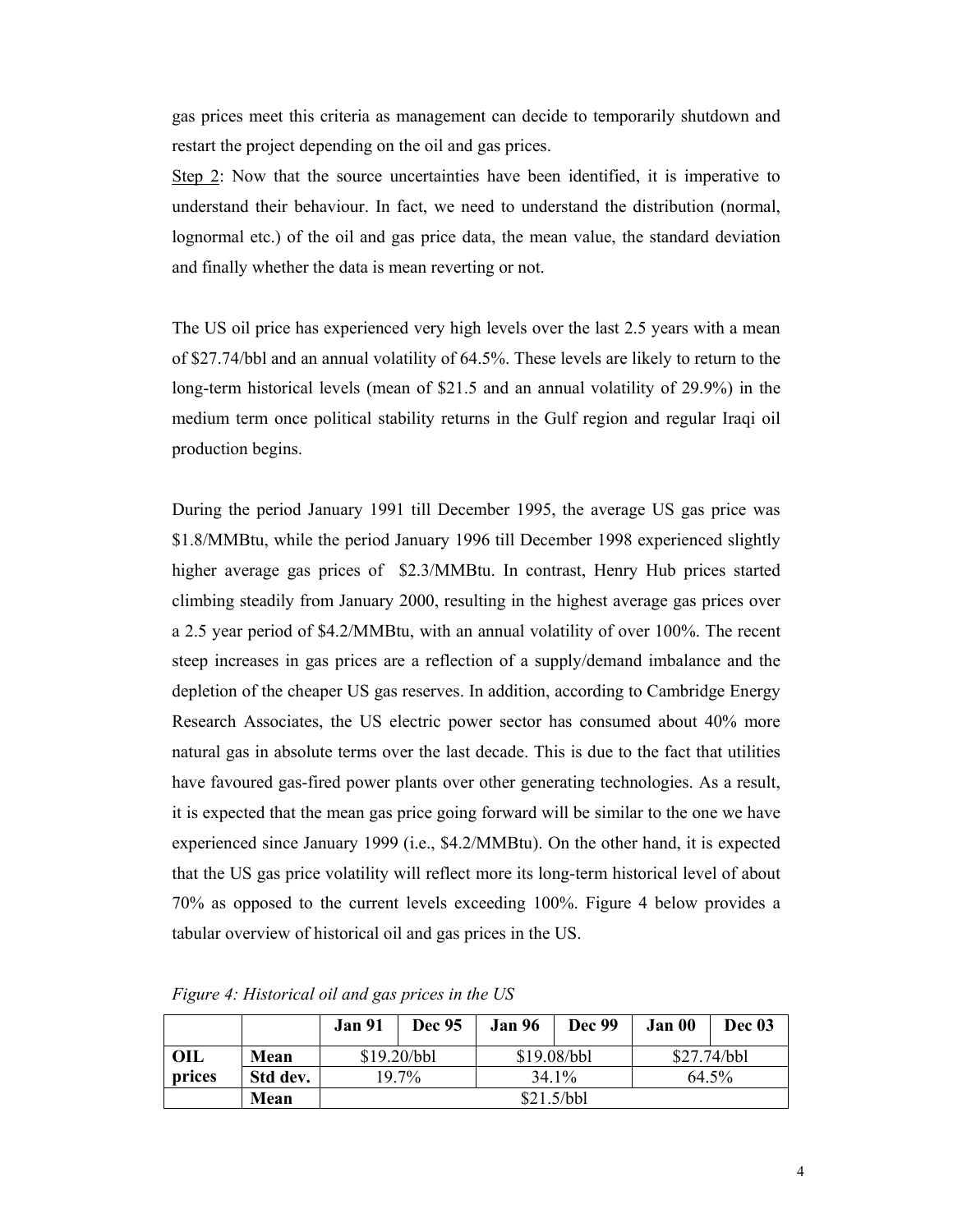gas prices meet this criteria as management can decide to temporarily shutdown and restart the project depending on the oil and gas prices.

Step 2: Now that the source uncertainties have been identified, it is imperative to understand their behaviour. In fact, we need to understand the distribution (normal, lognormal etc.) of the oil and gas price data, the mean value, the standard deviation and finally whether the data is mean reverting or not.

The US oil price has experienced very high levels over the last 2.5 years with a mean of \$27.74/bbl and an annual volatility of 64.5%. These levels are likely to return to the long-term historical levels (mean of \$21.5 and an annual volatility of 29.9%) in the medium term once political stability returns in the Gulf region and regular Iraqi oil production begins.

During the period January 1991 till December 1995, the average US gas price was \$1.8/MMBtu, while the period January 1996 till December 1998 experienced slightly higher average gas prices of \$2.3/MMBtu. In contrast, Henry Hub prices started climbing steadily from January 2000, resulting in the highest average gas prices over a 2.5 year period of \$4.2/MMBtu, with an annual volatility of over 100%. The recent steep increases in gas prices are a reflection of a supply/demand imbalance and the depletion of the cheaper US gas reserves. In addition, according to Cambridge Energy Research Associates, the US electric power sector has consumed about 40% more natural gas in absolute terms over the last decade. This is due to the fact that utilities have favoured gas-fired power plants over other generating technologies. As a result, it is expected that the mean gas price going forward will be similar to the one we have experienced since January 1999 (i.e., \$4.2/MMBtu). On the other hand, it is expected that the US gas price volatility will reflect more its long-term historical level of about 70% as opposed to the current levels exceeding 100%. Figure 4 below provides a tabular overview of historical oil and gas prices in the US.

|            |          | <b>Jan 91</b> | Dec 95 | <b>Jan 96</b> | <b>Dec 99</b> | Jan 00      | Dec 03 |
|------------|----------|---------------|--------|---------------|---------------|-------------|--------|
| <b>OIL</b> | Mean     | \$19.20/bbl   |        | \$19.08/bbl   |               | \$27.74/bbl |        |
| prices     | Std dev. | 19.7%         |        | 34.1%         |               | 64.5%       |        |
|            | Mean     | \$21.5/bbl    |        |               |               |             |        |

*Figure 4: Historical oil and gas prices in the US*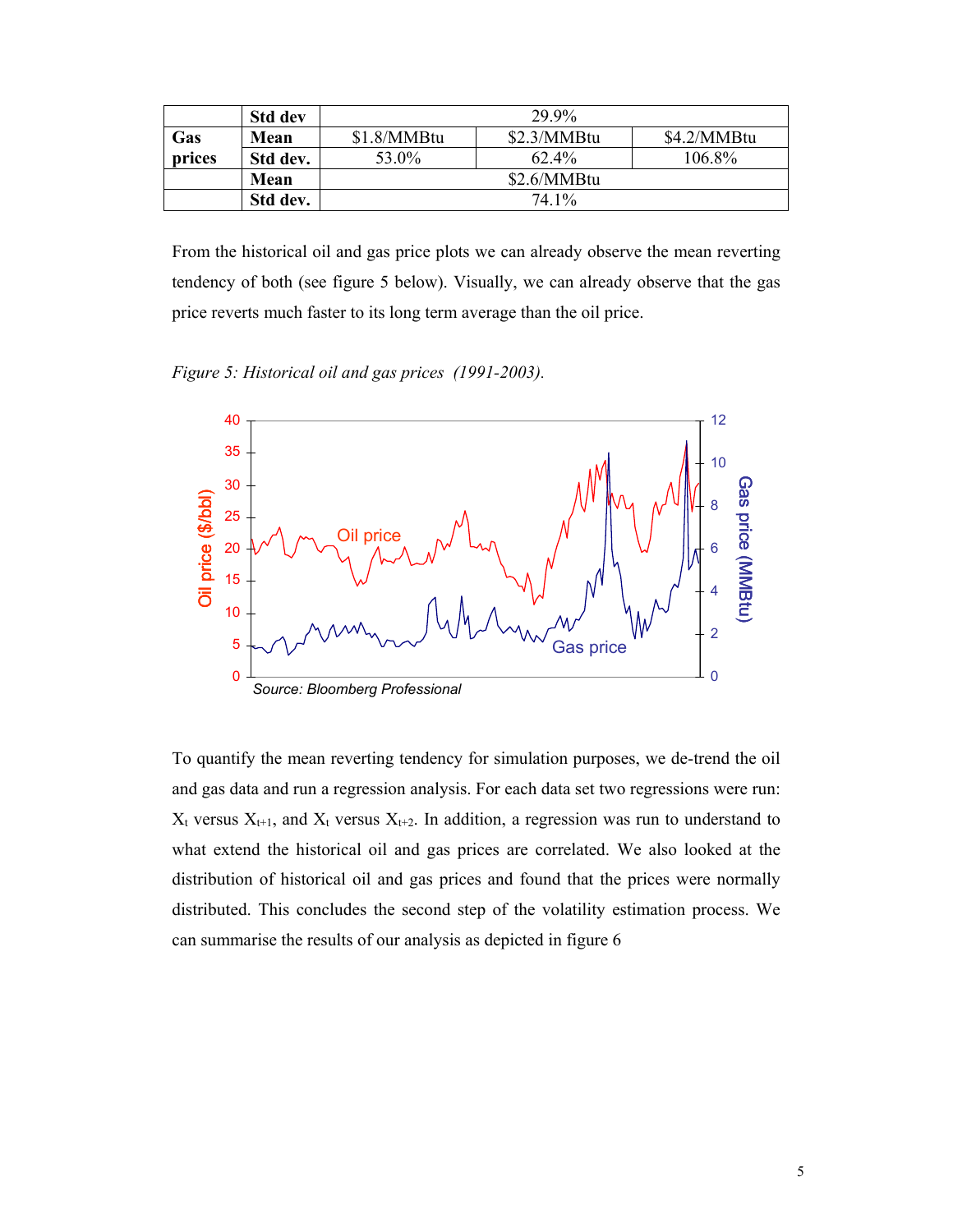|        | <b>Std dev</b> | 29.9%       |             |             |  |  |
|--------|----------------|-------------|-------------|-------------|--|--|
| Gas    | Mean           | \$1.8/MMBtu | \$2.3/MMBtu | \$4.2/MMBtu |  |  |
| prices | Std dev.       | 53.0%       | $62.4\%$    | 106.8%      |  |  |
|        | Mean           | \$2.6/MMBtu |             |             |  |  |
|        | Std dev.       | 74 1\%      |             |             |  |  |

From the historical oil and gas price plots we can already observe the mean reverting tendency of both (see figure 5 below). Visually, we can already observe that the gas price reverts much faster to its long term average than the oil price.

*Figure 5: Historical oil and gas prices (1991-2003).* 



To quantify the mean reverting tendency for simulation purposes, we de-trend the oil and gas data and run a regression analysis. For each data set two regressions were run:  $X_t$  versus  $X_{t+1}$ , and  $X_t$  versus  $X_{t+2}$ . In addition, a regression was run to understand to what extend the historical oil and gas prices are correlated. We also looked at the distribution of historical oil and gas prices and found that the prices were normally distributed. This concludes the second step of the volatility estimation process. We can summarise the results of our analysis as depicted in figure 6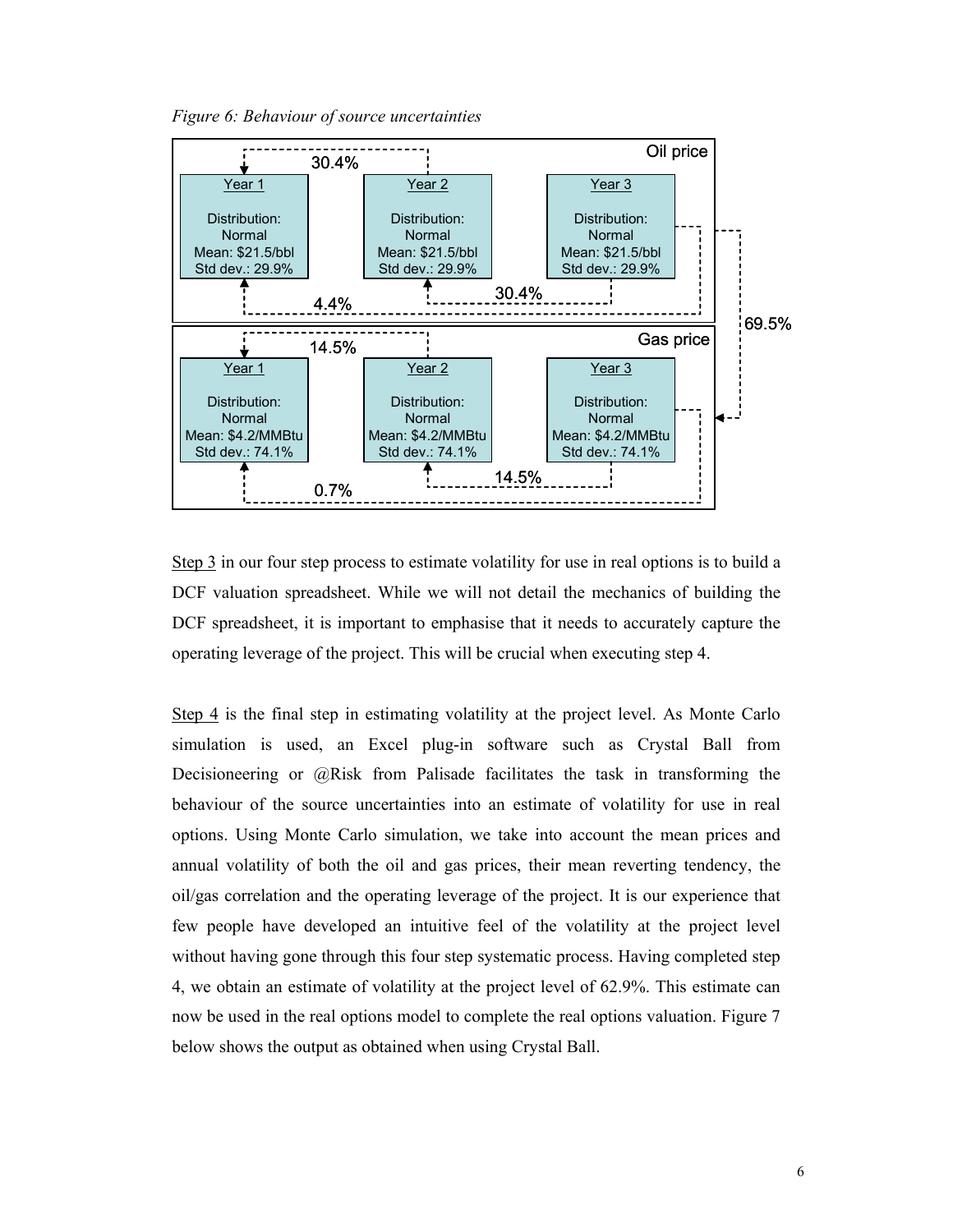*Figure 6: Behaviour of source uncertainties* 



Step 3 in our four step process to estimate volatility for use in real options is to build a DCF valuation spreadsheet. While we will not detail the mechanics of building the DCF spreadsheet, it is important to emphasise that it needs to accurately capture the operating leverage of the project. This will be crucial when executing step 4.

Step 4 is the final step in estimating volatility at the project level. As Monte Carlo simulation is used, an Excel plug-in software such as Crystal Ball from Decisioneering or @Risk from Palisade facilitates the task in transforming the behaviour of the source uncertainties into an estimate of volatility for use in real options. Using Monte Carlo simulation, we take into account the mean prices and annual volatility of both the oil and gas prices, their mean reverting tendency, the oil/gas correlation and the operating leverage of the project. It is our experience that few people have developed an intuitive feel of the volatility at the project level without having gone through this four step systematic process. Having completed step 4, we obtain an estimate of volatility at the project level of 62.9%. This estimate can now be used in the real options model to complete the real options valuation. Figure 7 below shows the output as obtained when using Crystal Ball.